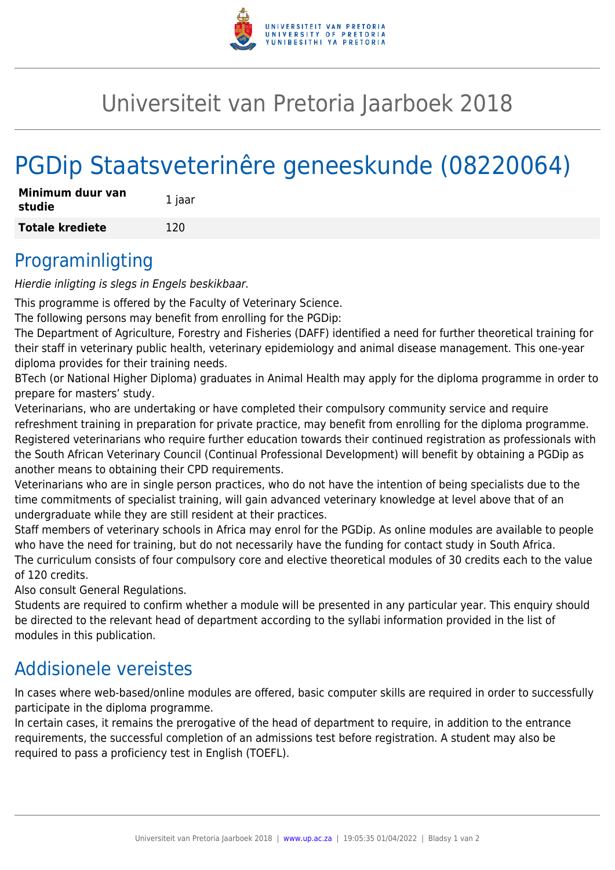

## Universiteit van Pretoria Jaarboek 2018

# PGDip Staatsveterinêre geneeskunde (08220064)

| Minimum duur van<br>studie | 1 jaar |
|----------------------------|--------|
| <b>Totale krediete</b>     | 120    |

#### Programinligting

Hierdie inligting is slegs in Engels beskikbaar.

This programme is offered by the Faculty of Veterinary Science.

The following persons may benefit from enrolling for the PGDip:

The Department of Agriculture, Forestry and Fisheries (DAFF) identified a need for further theoretical training for their staff in veterinary public health, veterinary epidemiology and animal disease management. This one-year diploma provides for their training needs.

BTech (or National Higher Diploma) graduates in Animal Health may apply for the diploma programme in order to prepare for masters' study.

Veterinarians, who are undertaking or have completed their compulsory community service and require refreshment training in preparation for private practice, may benefit from enrolling for the diploma programme. Registered veterinarians who require further education towards their continued registration as professionals with the South African Veterinary Council (Continual Professional Development) will benefit by obtaining a PGDip as another means to obtaining their CPD requirements.

Veterinarians who are in single person practices, who do not have the intention of being specialists due to the time commitments of specialist training, will gain advanced veterinary knowledge at level above that of an undergraduate while they are still resident at their practices.

Staff members of veterinary schools in Africa may enrol for the PGDip. As online modules are available to people who have the need for training, but do not necessarily have the funding for contact study in South Africa. The curriculum consists of four compulsory core and elective theoretical modules of 30 credits each to the value of 120 credits.

Also consult General Regulations.

Students are required to confirm whether a module will be presented in any particular year. This enquiry should be directed to the relevant head of department according to the syllabi information provided in the list of modules in this publication.

#### Addisionele vereistes

In cases where web-based/online modules are offered, basic computer skills are required in order to successfully participate in the diploma programme.

In certain cases, it remains the prerogative of the head of department to require, in addition to the entrance requirements, the successful completion of an admissions test before registration. A student may also be required to pass a proficiency test in English (TOEFL).